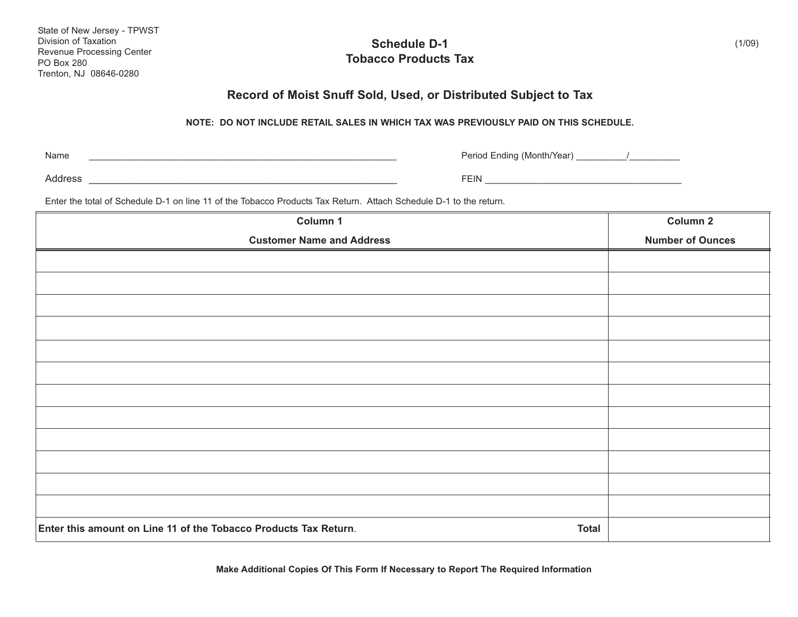| State of New Jersey - TPWST |
|-----------------------------|
| Division of Taxation        |
| Revenue Processing Center   |
| <b>PO Box 280</b>           |
| Trenton, NJ 08646-0280      |

## **Schedule D-1 Tobacco Products Tax**

## **Record of Moist Snuff Sold, Used, or Distributed Subject to Tax**

## **NOTE: DO NOT INCLUDE RETAIL SALES IN WHICH TAX WAS PREVIOUSLY PAID ON THIS SCHEDULE.**

Name

\_\_\_\_\_\_\_\_\_\_\_\_\_\_\_\_\_\_\_\_\_\_\_\_\_\_\_\_\_\_\_\_\_\_\_\_\_\_\_\_\_\_\_\_\_\_\_\_\_\_\_\_\_\_\_\_\_\_\_\_\_ Period Ending (Month/Year) \_\_\_\_\_\_\_\_\_\_/\_\_\_\_\_\_\_\_\_\_

Address \_\_\_\_\_\_\_\_\_\_\_\_\_\_\_\_\_\_\_\_\_\_\_\_\_\_\_\_\_\_\_\_\_\_\_\_\_\_\_\_\_\_\_\_\_\_\_\_\_\_\_\_\_\_\_ FEIN \_\_\_\_\_\_\_\_\_\_\_\_\_\_\_\_\_\_\_\_\_\_\_\_\_\_\_\_\_\_\_\_\_\_\_\_\_\_\_

Enter the total of Schedule D-1 on line 11 of the Tobacco Products Tax Return. Attach Schedule D-1 to the return.

| Column 1                                                                         | Column 2                |
|----------------------------------------------------------------------------------|-------------------------|
| <b>Customer Name and Address</b>                                                 | <b>Number of Ounces</b> |
|                                                                                  |                         |
|                                                                                  |                         |
|                                                                                  |                         |
|                                                                                  |                         |
|                                                                                  |                         |
|                                                                                  |                         |
|                                                                                  |                         |
|                                                                                  |                         |
|                                                                                  |                         |
|                                                                                  |                         |
|                                                                                  |                         |
|                                                                                  |                         |
|                                                                                  |                         |
|                                                                                  |                         |
| Enter this amount on Line 11 of the Tobacco Products Tax Return.<br><b>Total</b> |                         |

**Make Additional Copies Of This Form If Necessary to Report The Required Information**